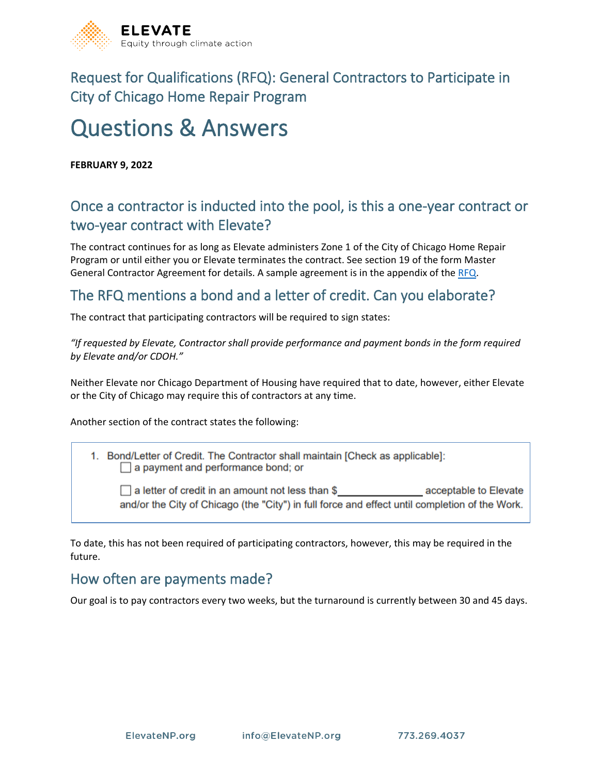

Request for Qualifications (RFQ): General Contractors to Participate in City of Chicago Home Repair Program

# Questions & Answers

**FEBRUARY 9, 2022**

## Once a contractor is inducted into the pool, is this a one-year contract or two-year contract with Elevate?

The contract continues for as long as Elevate administers Zone 1 of the City of Chicago Home Repair Program or until either you or Elevate terminates the contract. See section 19 of the form Master General Contractor Agreement for details. A sample agreement is in the appendix of the [RFQ.](https://www.elevatenp.org/wp-content/uploads/2022_Elevate_Home_Repair_Program_RFQ-FINAL.pdf)

#### The RFQ mentions a bond and a letter of credit. Can you elaborate?

The contract that participating contractors will be required to sign states:

*"If requested by Elevate, Contractor shall provide performance and payment bonds in the form required by Elevate and/or CDOH."* 

Neither Elevate nor Chicago Department of Housing have required that to date, however, either Elevate or the City of Chicago may require this of contractors at any time.

Another section of the contract states the following:

1. Bond/Letter of Credit. The Contractor shall maintain [Check as applicable]:  $\Box$  a payment and performance bond; or

 $\Box$  a letter of credit in an amount not less than \$ acceptable to Elevate and/or the City of Chicago (the "City") in full force and effect until completion of the Work.

To date, this has not been required of participating contractors, however, this may be required in the future.

#### How often are payments made?

Our goal is to pay contractors every two weeks, but the turnaround is currently between 30 and 45 days.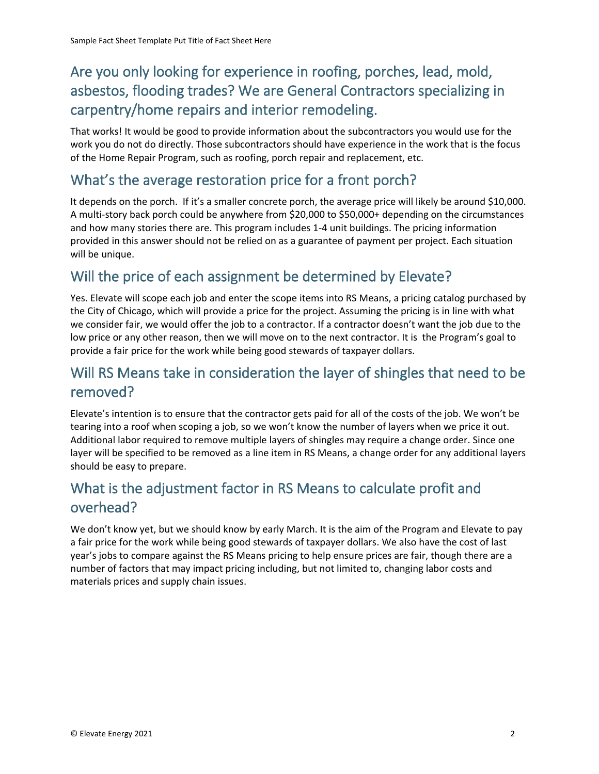# Are you only looking for experience in roofing, porches, lead, mold, asbestos, flooding trades? We are General Contractors specializing in carpentry/home repairs and interior remodeling.

That works! It would be good to provide information about the subcontractors you would use for the work you do not do directly. Those subcontractors should have experience in the work that is the focus of the Home Repair Program, such as roofing, porch repair and replacement, etc.

#### What's the average restoration price for a front porch?

It depends on the porch. If it's a smaller concrete porch, the average price will likely be around \$10,000. A multi-story back porch could be anywhere from \$20,000 to \$50,000+ depending on the circumstances and how many stories there are. This program includes 1-4 unit buildings. The pricing information provided in this answer should not be relied on as a guarantee of payment per project. Each situation will be unique.

#### Will the price of each assignment be determined by Elevate?

Yes. Elevate will scope each job and enter the scope items into RS Means, a pricing catalog purchased by the City of Chicago, which will provide a price for the project. Assuming the pricing is in line with what we consider fair, we would offer the job to a contractor. If a contractor doesn't want the job due to the low price or any other reason, then we will move on to the next contractor. It is the Program's goal to provide a fair price for the work while being good stewards of taxpayer dollars.

## Will RS Means take in consideration the layer of shingles that need to be removed?

Elevate's intention is to ensure that the contractor gets paid for all of the costs of the job. We won't be tearing into a roof when scoping a job, so we won't know the number of layers when we price it out. Additional labor required to remove multiple layers of shingles may require a change order. Since one layer will be specified to be removed as a line item in RS Means, a change order for any additional layers should be easy to prepare.

## What is the adjustment factor in RS Means to calculate profit and overhead?

We don't know yet, but we should know by early March. It is the aim of the Program and Elevate to pay a fair price for the work while being good stewards of taxpayer dollars. We also have the cost of last year's jobs to compare against the RS Means pricing to help ensure prices are fair, though there are a number of factors that may impact pricing including, but not limited to, changing labor costs and materials prices and supply chain issues.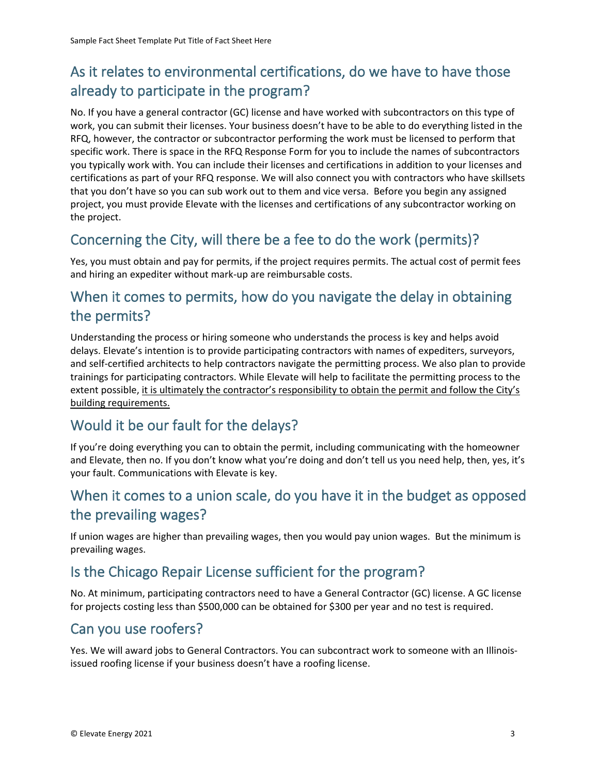# As it relates to environmental certifications, do we have to have those already to participate in the program?

No. If you have a general contractor (GC) license and have worked with subcontractors on this type of work, you can submit their licenses. Your business doesn't have to be able to do everything listed in the RFQ, however, the contractor or subcontractor performing the work must be licensed to perform that specific work. There is space in the RFQ Response Form for you to include the names of subcontractors you typically work with. You can include their licenses and certifications in addition to your licenses and certifications as part of your RFQ response. We will also connect you with contractors who have skillsets that you don't have so you can sub work out to them and vice versa. Before you begin any assigned project, you must provide Elevate with the licenses and certifications of any subcontractor working on the project.

## Concerning the City, will there be a fee to do the work (permits)?

Yes, you must obtain and pay for permits, if the project requires permits. The actual cost of permit fees and hiring an expediter without mark-up are reimbursable costs.

## When it comes to permits, how do you navigate the delay in obtaining the permits?

Understanding the process or hiring someone who understands the process is key and helps avoid delays. Elevate's intention is to provide participating contractors with names of expediters, surveyors, and self-certified architects to help contractors navigate the permitting process. We also plan to provide trainings for participating contractors. While Elevate will help to facilitate the permitting process to the extent possible, it is ultimately the contractor's responsibility to obtain the permit and follow the City's building requirements.

## Would it be our fault for the delays?

If you're doing everything you can to obtain the permit, including communicating with the homeowner and Elevate, then no. If you don't know what you're doing and don't tell us you need help, then, yes, it's your fault. Communications with Elevate is key.

## When it comes to a union scale, do you have it in the budget as opposed the prevailing wages?

If union wages are higher than prevailing wages, then you would pay union wages. But the minimum is prevailing wages.

## Is the Chicago Repair License sufficient for the program?

No. At minimum, participating contractors need to have a General Contractor (GC) license. A GC license for projects costing less than \$500,000 can be obtained for \$300 per year and no test is required.

## Can you use roofers?

Yes. We will award jobs to General Contractors. You can subcontract work to someone with an Illinoisissued roofing license if your business doesn't have a roofing license.